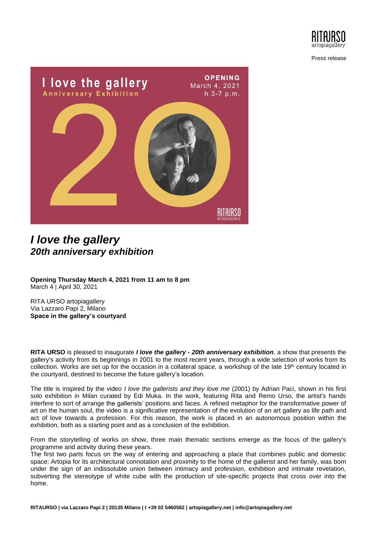

Press release



## *I love the gallery 20th anniversary exhibition*

**Opening Thursday March 4, 2021 from 11 am to 8 pm** March 4 | April 30, 2021

RITA URSO artopiagallery Via Lazzaro Papi 2, Milano **Space in the gallery's courtyard**

**RITA URSO** is pleased to inaugurate *I love the gallery - 20th anniversary exhibition*, a show that presents the gallery's activity from its beginnings in 2001 to the most recent years, through a wide selection of works from its collection. Works are set up for the occasion in a collateral space, a workshop of the late  $19<sup>th</sup>$  century located in the courtyard, destined to become the future gallery's location.

The title is inspired by the video *I love the gallerists and they love me* (2001) by Adrian Paci, shown in his first solo exhibition in Milan curated by Edi Muka. In the work, featuring Rita and Remo Urso, the artist's hands interfere to sort of arrange the gallerists' positions and faces. A refined metaphor for the transformative power of art on the human soul, the video is a significative representation of the evolution of an art gallery as life path and act of love towards a profession. For this reason, the work is placed in an autonomous position within the exhibition, both as a starting point and as a conclusion of the exhibition.

From the storytelling of works on show, three main thematic sections emerge as the focus of the gallery's programme and activity during these years.

The first two parts focus on the way of entering and approaching a place that combines public and domestic space: Artopia for its architectural connotation and proximity to the home of the gallerist and her family, was born under the sign of an indissoluble union between intimacy and profession, exhibition and intimate revelation, subverting the stereotype of white cube with the production of site-specific projects that cross over into the home.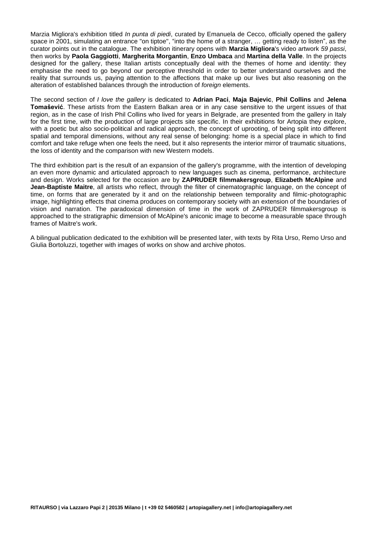Marzia Migliora's exhibition titled *In punta di piedi*, curated by Emanuela de Cecco, officially opened the gallery space in 2001, simulating an entrance "on tiptoe", "into the home of a stranger, … getting ready to listen", as the curator points out in the catalogue. The exhibition itinerary opens with **Marzia Migliora**'s video artwork *59 passi*, then works by **Paola Gaggiotti**, **Margherita Morgantin**, **Enzo Umbaca** and **Martina della Valle**. In the projects designed for the gallery, these Italian artists conceptually deal with the themes of home and identity: they emphasise the need to go beyond our perceptive threshold in order to better understand ourselves and the reality that surrounds us, paying attention to the affections that make up our lives but also reasoning on the alteration of established balances through the introduction of *foreign* elements.

The second section of *I love the gallery* is dedicated to **Adrian Paci**, **Maja Bajevic**, **Phil Collins** and **Jelena Tomašević**. These artists from the Eastern Balkan area or in any case sensitive to the urgent issues of that region, as in the case of Irish Phil Collins who lived for years in Belgrade, are presented from the gallery in Italy for the first time, with the production of large projects site specific. In their exhibitions for Artopia they explore, with a poetic but also socio-political and radical approach, the concept of uprooting, of being split into different spatial and temporal dimensions, without any real sense of belonging: home is a special place in which to find comfort and take refuge when one feels the need, but it also represents the interior mirror of traumatic situations, the loss of identity and the comparison with new Western models.

The third exhibition part is the result of an expansion of the gallery's programme, with the intention of developing an even more dynamic and articulated approach to new languages such as cinema, performance, architecture and design. Works selected for the occasion are by **ZAPRUDER filmmakersgroup**, **Elizabeth McAlpine** and **Jean-Baptiste Maitre**, all artists who reflect, through the filter of cinematographic language, on the concept of time, on forms that are generated by it and on the relationship between temporality and filmic-photographic image, highlighting effects that cinema produces on contemporary society with an extension of the boundaries of vision and narration. The paradoxical dimension of time in the work of ZAPRUDER filmmakersgroup is approached to the stratigraphic dimension of McAlpine's aniconic image to become a measurable space through frames of Maitre's work.

A bilingual publication dedicated to the exhibition will be presented later, with texts by Rita Urso, Remo Urso and Giulia Bortoluzzi, together with images of works on show and archive photos.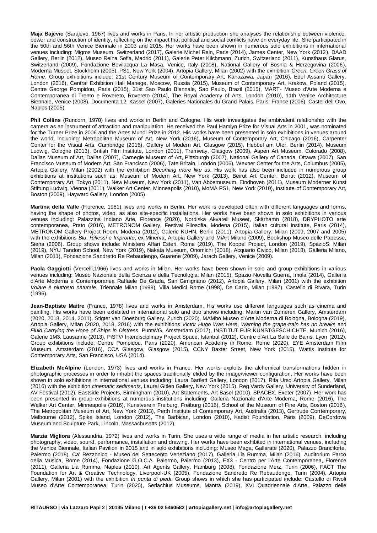**Maja Bajevic** (Sarajevo, 1967) lives and works in Paris. In her artistic production she analyses the relationship between violence, power and construction of identity, reflecting on the impact that political and social conflicts have on everyday life. She participated in the 50th and 56th Venice Biennale in 2003 and 2015. Her works have been shown in numerous solo exhibitions in international venues including: Migros Museum, Switzerland (2017), Galerie Michel Rein, Paris (2014), James Center, New York (2012), DAAD Gallery, Berlin (2012), Museo Reina Sofia, Madrid (2011), Galerie Peter Kilchmann, Zurich, Switzerland (2011), Kunsthaus Glarus, Switzerland (2009), Fondazione Bevilacqua La Masa, Venice, Italy (2008), National Gallery of Bosnia & Herzegovina (2006), Moderna Museet, Stockholm (2005), PS1, New York (2004), Artopia Gallery, Milan (2002) with the exhibition *Green, Green Grass of Home*. Group exhibitions include: 21st Century Museum of Contemporary Art, Kanazawa, Japan (2016), Edel Assanti Gallery, London (2016), Central Exhibition Hall Manege, Moscow, Russia (2015), Museum of Contemporary Art, Krakow, Poland (2015), Centre George Pompidou, Paris (2015), 31st Sao Paulo Biennale, Sao Paulo, Brazil (2015), MART- Museo d'Arte Moderna e Contemporanea di Trento e Rovereto, Rovereto (2014), The Royal Academy of Arts, London (2010), 11th Venice Architecture Biennale, Venice (2008), Documenta 12, Kassel (2007), Galeries Nationales du Grand Palais, Paris, France (2006), Castel dell'Ovo, Naples (2005).

**Phil Collins** (Runcorn, 1970) lives and works in Berlin and Cologne. His work investigates the ambivalent relationship with the camera as an instrument of attraction and manipulation. He received the Paul Hamlyn Prize for Visual Arts in 2001, was nominated for the Turner Prize in 2006 and the Artes Mundi Prize in 2012. His works have been presented in solo exhibitions in venues around the world, including: Metropolitan Museum of Art, New York (2016), Museum of Contemporary Art, Chicago (2016), Carpenter Center for the Visual Arts, Cambridge (2016), Gallery of Modern Art, Glasgow (2015), Hebbel am Ufer, Berlin (2014), Museum Ludwig, Cologne (2013), British Film Institute, London (2011), Tramway, Glasgow (2009), Aspen Art Museum, Colorado (2008), Dallas Museum of Art, Dallas (2007), Carnegie Museum of Art, Pittsburgh (2007), National Gallery of Canada, Ottawa (2007), San Francisco Museum of Modern Art, San Francisco (2006), Tate Britain, London (2006), Wexner Center for the Arts, Columbus (2005), Artopia Gallery, Milan (2002) with the exhibition *Becoming more like us*. His work has also been included in numerous group exhibitions at institutions such as: Museum of Modern Art, New York (2013), Beirut Art Center, Beirut (2012), Museum of Contemporary Art, Tokyo (2011), New Museum, New York (2011), Van Abbemuseum, Eindhoven (2011), Museum Moderner Kunst Stiftung Ludwig, Vienna (2011), Walker Art Center, Minneapolis (2010), MoMA PS1, New York (2010), Institute of Contemporary Art, Boston (2009), Hayward Gallery, London (2005).

**Martina della Valle** (Florence, 1981) lives and works in Berlin. Her work is developed often with different languages and forms, having the shape of photos, video, as also site-specific installations. Her works have been shown in solo exhibitions in various venues including: Palazzina Indiano Arte, Florence (2020), Nordiska Akvarell Museet, Skärhamn (2018), DRYPHOTO arte contemporanea, Prato (2016), METRONOM Gallery, Festival Filosofia, Modena (2015), Italian cultural Institute, Paris (2014), METRONOM Gallery Project Room, Modena (2012), Galerie KUHN, Berlin (2011), Artopia Gallery, Milan (2009, 2007 and 2005) with the exhibitions *Blu*, *Riflessi* e *Impronte*, ex Minerva, Artopia Gallery and MiArt Milano (2009), Bookshop Museo delle Papesse, Siena (2006). Group shows include: Ministero Affari Esteri, Rome (2019), The Koppel Project, London (2019), SpazioS, Milan (2019), NYU Tandon School, New York (2019), Nakata Museum, Onomichi (2018), Acquario Civico, Milan (2018), Galleria Milano, Milan (2011), Fondazione Sandretto Re Rebaudengo, Guarene (2009), Jarach Gallery, Venice (2009).

**Paola Gaggiotti** (Vercelli,1966) lives and works in Milan. Her works have been shown in solo and group exhibitions in various venues including: Museo Nazionale della Scienza e della Tecnologia, Milan (2015), Spazio Novella Guerra, Imola (2014), Galleria d'Arte Moderna e Contemporanea Raffaele De Grada, San Gimignano (2012), Artopia Gallery, Milan (2001) with the exhibition *Volare è piuttosto naturale*, Triennale Milan (1999), Villa Medici Rome (1998), De Carlo, Milan (1997), Castello di Rivara, Turin (1996).

**Jean-Baptiste Maitre** (France, 1978) lives and works in Amsterdam. His works use different languages such as cinema and painting. His works have been exhibited in international solo and duo shows including: Martin van Zomeren Gallery, Amsterdam (2020, 2018, 2014, 2011), Stigter van Doesburg Gallery, Zurich (2020), MAMbo Museo d'Arte Moderna di Bologna, Bologna (2019), Artopia Gallery, Milan (2020, 2018, 2016) with the exhibitions *Victor Hugo Was Here*, *Warning the grape-train has no breaks* and *Fluid Carrying the Hope of Ships in Distress*, PuntWG, Amsterdam (2017), INSTITUT FÜR KUNSTGESCHICHTE, Munich (2016), Galerie 1M3, Lausanne (2013), PiST/// Interdisciplinary Project Space, Istanbul (2012), Centre d'Art La Salle de Bains, Lyon (2012). Group exhibitions include: Centre Pompidou, Paris (2020), American Academy in Rome, Rome (2020), EYE Amsterdam Film Museum, Amsterdam (2016), CCA Glasgow, Glasgow (2015), CCNY Baxter Street, New York (2015), Wattis Institute for Contemporary Arts, San Francisco, USA (2014).

**Elizabeth McAlpine** (London, 1973) lives and works in France. Her works exploits the alchemical transformations hidden in photographic processes in order to inhabit the spaces traditionally elided by the image/viewer configuration. Her works have been shown in solo exhibitions in international venues including: Laura Bartlett Gallery, London (2017), Rita Urso Artopia Gallery, Milan (2016) with the exhibition *cinematic sediments*, Laurel Gitlen Gallery, New York (2015), Reg Vardy Gallery, University of Sunderland, AV Festival (2012), Eastside Projects, Birmingham (2010), Art Statements, Art Basel (2010), SPACEX, Exeter (2007). Her work has been presented in group exhibitions at numerous institutions including: Galleria Nazionale d'Arte Moderna, Rome (2016), The Walker Art Center, Minneapolis (2016), Kunstverein Freiburg, Freiburg (2016), School of the Museum of Fine Arts, Boston (2016), The Metropolitan Museum of Art, New York (2013), Perth Institute of Contemporary Art, Australia (2013), Gertrude Contemporary, Melbourne (2012), Spike Island, London (2012), The Barbican, London (2010), Kadist Foundation, Paris (2009), DeCordova Museum and Sculpture Park, Lincoln, Massachusetts (2012).

**Marzia Migliora** (Alessandria, 1972) lives and works in Turin. She uses a wide range of media in her artistic research, including photography, video, sound, performance, installation and drawing. Her works have been exhibited in international venues, including the Venice Biennale, Italian Pavilion in 2015 and in solo exhibitions including: Museo Maga, Gallarate (2020), Palazzo Branciforte, Palermo (2018), Ca' Rezzonico - Museo del Settecento Veneziano (2017), Galleria Lia Rumma, Milan (2016), Auditorium Parco della Musica, Rome (2014), Fondazione G.O.C.A. Palermo, Palermo (2013), EX3 - Centro per l'Arte Contemporanea, Florence (2011), Galleria Lia Rumma, Naples (2010), Art Agents Gallery, Hamburg (2008), Fondazione Merz, Turin (2006), FACT The Foundation for Art & Creative Technology, Liverpool-UK (2005), Fondazione Sandretto Re Rebaudengo, Turin (2004), Artopia Gallery, Milan (2001) with the exhibition *In punta di piedi*. Group shows in which she has participated include: Castello di Rivoli Museo d'Arte Contemporanea, Turin (2020), Serlachius Museums, Mänttä (2019), XVI Quadriennale d'Arte, Palazzo delle